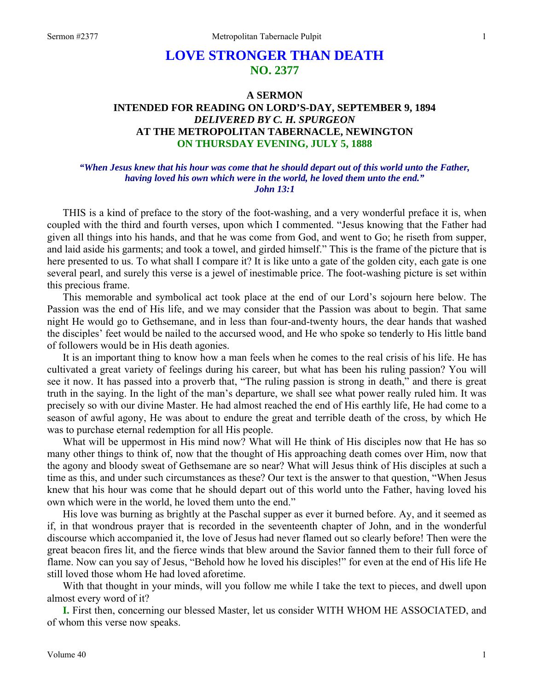# **LOVE STRONGER THAN DEATH NO. 2377**

# **A SERMON INTENDED FOR READING ON LORD'S-DAY, SEPTEMBER 9, 1894**  *DELIVERED BY C. H. SPURGEON*  **AT THE METROPOLITAN TABERNACLE, NEWINGTON ON THURSDAY EVENING, JULY 5, 1888**

## *"When Jesus knew that his hour was come that he should depart out of this world unto the Father, having loved his own which were in the world, he loved them unto the end." John 13:1*

THIS is a kind of preface to the story of the foot-washing, and a very wonderful preface it is, when coupled with the third and fourth verses, upon which I commented. "Jesus knowing that the Father had given all things into his hands, and that he was come from God, and went to Go; he riseth from supper, and laid aside his garments; and took a towel, and girded himself." This is the frame of the picture that is here presented to us. To what shall I compare it? It is like unto a gate of the golden city, each gate is one several pearl, and surely this verse is a jewel of inestimable price. The foot-washing picture is set within this precious frame.

This memorable and symbolical act took place at the end of our Lord's sojourn here below. The Passion was the end of His life, and we may consider that the Passion was about to begin. That same night He would go to Gethsemane, and in less than four-and-twenty hours, the dear hands that washed the disciples' feet would be nailed to the accursed wood, and He who spoke so tenderly to His little band of followers would be in His death agonies.

It is an important thing to know how a man feels when he comes to the real crisis of his life. He has cultivated a great variety of feelings during his career, but what has been his ruling passion? You will see it now. It has passed into a proverb that, "The ruling passion is strong in death," and there is great truth in the saying. In the light of the man's departure, we shall see what power really ruled him. It was precisely so with our divine Master. He had almost reached the end of His earthly life, He had come to a season of awful agony, He was about to endure the great and terrible death of the cross, by which He was to purchase eternal redemption for all His people.

What will be uppermost in His mind now? What will He think of His disciples now that He has so many other things to think of, now that the thought of His approaching death comes over Him, now that the agony and bloody sweat of Gethsemane are so near? What will Jesus think of His disciples at such a time as this, and under such circumstances as these? Our text is the answer to that question, "When Jesus knew that his hour was come that he should depart out of this world unto the Father, having loved his own which were in the world, he loved them unto the end."

His love was burning as brightly at the Paschal supper as ever it burned before. Ay, and it seemed as if, in that wondrous prayer that is recorded in the seventeenth chapter of John, and in the wonderful discourse which accompanied it, the love of Jesus had never flamed out so clearly before! Then were the great beacon fires lit, and the fierce winds that blew around the Savior fanned them to their full force of flame. Now can you say of Jesus, "Behold how he loved his disciples!" for even at the end of His life He still loved those whom He had loved aforetime.

With that thought in your minds, will you follow me while I take the text to pieces, and dwell upon almost every word of it?

**I.** First then, concerning our blessed Master, let us consider WITH WHOM HE ASSOCIATED, and of whom this verse now speaks.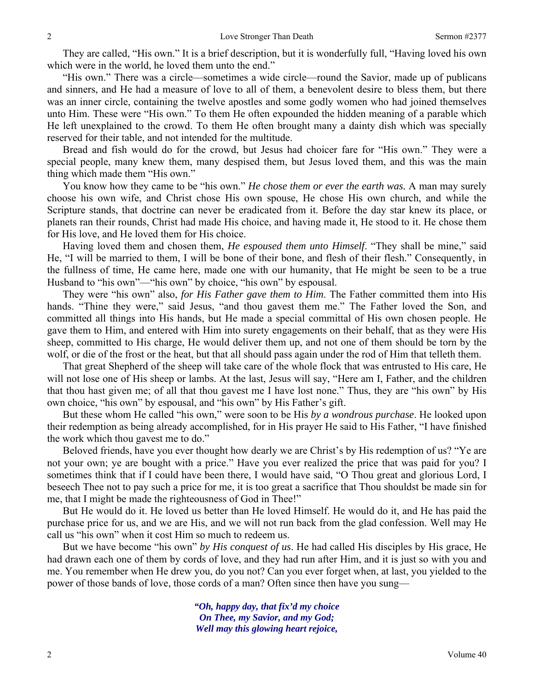They are called, "His own." It is a brief description, but it is wonderfully full, "Having loved his own which were in the world, he loved them unto the end."

"His own." There was a circle—sometimes a wide circle—round the Savior, made up of publicans and sinners, and He had a measure of love to all of them, a benevolent desire to bless them, but there was an inner circle, containing the twelve apostles and some godly women who had joined themselves unto Him. These were "His own." To them He often expounded the hidden meaning of a parable which He left unexplained to the crowd. To them He often brought many a dainty dish which was specially reserved for their table, and not intended for the multitude.

Bread and fish would do for the crowd, but Jesus had choicer fare for "His own." They were a special people, many knew them, many despised them, but Jesus loved them, and this was the main thing which made them "His own."

You know how they came to be "his own." *He chose them or ever the earth was.* A man may surely choose his own wife, and Christ chose His own spouse, He chose His own church, and while the Scripture stands, that doctrine can never be eradicated from it. Before the day star knew its place, or planets ran their rounds, Christ had made His choice, and having made it, He stood to it. He chose them for His love, and He loved them for His choice.

Having loved them and chosen them, *He espoused them unto Himself*. "They shall be mine," said He, "I will be married to them, I will be bone of their bone, and flesh of their flesh." Consequently, in the fullness of time, He came here, made one with our humanity, that He might be seen to be a true Husband to "his own"—"his own" by choice, "his own" by espousal.

They were "his own" also, *for His Father gave them to Him*. The Father committed them into His hands. "Thine they were," said Jesus, "and thou gavest them me." The Father loved the Son, and committed all things into His hands, but He made a special committal of His own chosen people. He gave them to Him, and entered with Him into surety engagements on their behalf, that as they were His sheep, committed to His charge, He would deliver them up, and not one of them should be torn by the wolf, or die of the frost or the heat, but that all should pass again under the rod of Him that telleth them.

That great Shepherd of the sheep will take care of the whole flock that was entrusted to His care, He will not lose one of His sheep or lambs. At the last, Jesus will say, "Here am I, Father, and the children that thou hast given me; of all that thou gavest me I have lost none." Thus, they are "his own" by His own choice, "his own" by espousal, and "his own" by His Father's gift.

But these whom He called "his own," were soon to be His *by a wondrous purchase*. He looked upon their redemption as being already accomplished, for in His prayer He said to His Father, "I have finished the work which thou gavest me to do."

Beloved friends, have you ever thought how dearly we are Christ's by His redemption of us? "Ye are not your own; ye are bought with a price." Have you ever realized the price that was paid for you? I sometimes think that if I could have been there, I would have said, "O Thou great and glorious Lord, I beseech Thee not to pay such a price for me, it is too great a sacrifice that Thou shouldst be made sin for me, that I might be made the righteousness of God in Thee!"

But He would do it. He loved us better than He loved Himself. He would do it, and He has paid the purchase price for us, and we are His, and we will not run back from the glad confession. Well may He call us "his own" when it cost Him so much to redeem us.

But we have become "his own" *by His conquest of us*. He had called His disciples by His grace, He had drawn each one of them by cords of love, and they had run after Him, and it is just so with you and me. You remember when He drew you, do you not? Can you ever forget when, at last, you yielded to the power of those bands of love, those cords of a man? Often since then have you sung—

> *"Oh, happy day, that fix'd my choice On Thee, my Savior, and my God; Well may this glowing heart rejoice,*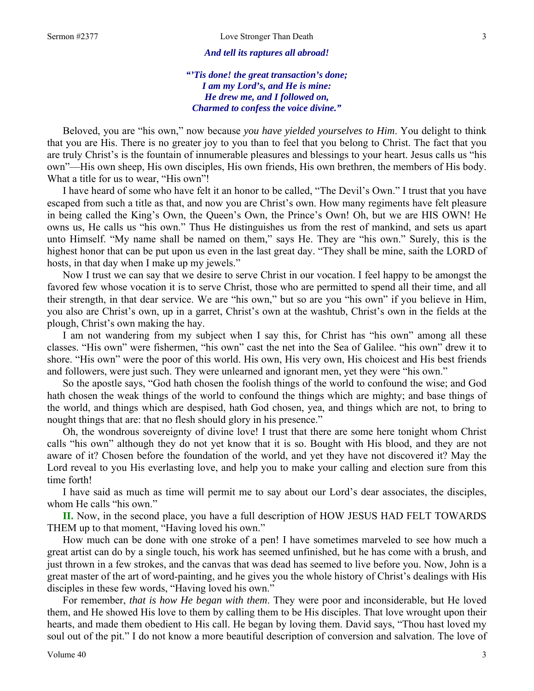#### *And tell its raptures all abroad!*

*"'Tis done! the great transaction's done; I am my Lord's, and He is mine: He drew me, and I followed on, Charmed to confess the voice divine."* 

Beloved, you are "his own," now because *you have yielded yourselves to Him*. You delight to think that you are His. There is no greater joy to you than to feel that you belong to Christ. The fact that you are truly Christ's is the fountain of innumerable pleasures and blessings to your heart. Jesus calls us "his own"—His own sheep, His own disciples, His own friends, His own brethren, the members of His body. What a title for us to wear, "His own"!

I have heard of some who have felt it an honor to be called, "The Devil's Own." I trust that you have escaped from such a title as that, and now you are Christ's own. How many regiments have felt pleasure in being called the King's Own, the Queen's Own, the Prince's Own! Oh, but we are HIS OWN! He owns us, He calls us "his own." Thus He distinguishes us from the rest of mankind, and sets us apart unto Himself. "My name shall be named on them," says He. They are "his own." Surely, this is the highest honor that can be put upon us even in the last great day. "They shall be mine, saith the LORD of hosts, in that day when I make up my jewels."

Now I trust we can say that we desire to serve Christ in our vocation. I feel happy to be amongst the favored few whose vocation it is to serve Christ, those who are permitted to spend all their time, and all their strength, in that dear service. We are "his own," but so are you "his own" if you believe in Him, you also are Christ's own, up in a garret, Christ's own at the washtub, Christ's own in the fields at the plough, Christ's own making the hay.

I am not wandering from my subject when I say this, for Christ has "his own" among all these classes. "His own" were fishermen, "his own" cast the net into the Sea of Galilee. "his own" drew it to shore. "His own" were the poor of this world. His own, His very own, His choicest and His best friends and followers, were just such. They were unlearned and ignorant men, yet they were "his own."

So the apostle says, "God hath chosen the foolish things of the world to confound the wise; and God hath chosen the weak things of the world to confound the things which are mighty; and base things of the world, and things which are despised, hath God chosen, yea, and things which are not, to bring to nought things that are: that no flesh should glory in his presence."

Oh, the wondrous sovereignty of divine love! I trust that there are some here tonight whom Christ calls "his own" although they do not yet know that it is so. Bought with His blood, and they are not aware of it? Chosen before the foundation of the world, and yet they have not discovered it? May the Lord reveal to you His everlasting love, and help you to make your calling and election sure from this time forth!

I have said as much as time will permit me to say about our Lord's dear associates, the disciples, whom He calls "his own."

**II.** Now, in the second place, you have a full description of HOW JESUS HAD FELT TOWARDS THEM up to that moment, "Having loved his own."

How much can be done with one stroke of a pen! I have sometimes marveled to see how much a great artist can do by a single touch, his work has seemed unfinished, but he has come with a brush, and just thrown in a few strokes, and the canvas that was dead has seemed to live before you. Now, John is a great master of the art of word-painting, and he gives you the whole history of Christ's dealings with His disciples in these few words, "Having loved his own."

For remember, *that is how He began with them*. They were poor and inconsiderable, but He loved them, and He showed His love to them by calling them to be His disciples. That love wrought upon their hearts, and made them obedient to His call. He began by loving them. David says, "Thou hast loved my soul out of the pit." I do not know a more beautiful description of conversion and salvation. The love of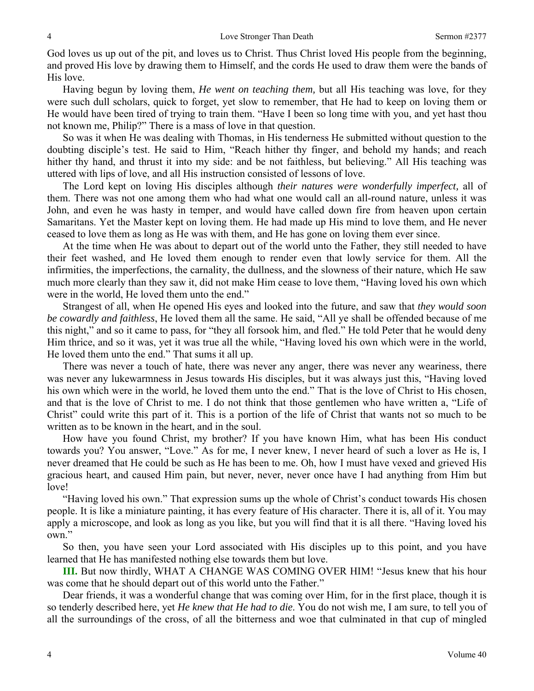God loves us up out of the pit, and loves us to Christ. Thus Christ loved His people from the beginning, and proved His love by drawing them to Himself, and the cords He used to draw them were the bands of His love.

Having begun by loving them, *He went on teaching them,* but all His teaching was love, for they were such dull scholars, quick to forget, yet slow to remember, that He had to keep on loving them or He would have been tired of trying to train them. "Have I been so long time with you, and yet hast thou not known me, Philip?" There is a mass of love in that question.

So was it when He was dealing with Thomas, in His tenderness He submitted without question to the doubting disciple's test. He said to Him, "Reach hither thy finger, and behold my hands; and reach hither thy hand, and thrust it into my side: and be not faithless, but believing." All His teaching was uttered with lips of love, and all His instruction consisted of lessons of love.

The Lord kept on loving His disciples although *their natures were wonderfully imperfect,* all of them. There was not one among them who had what one would call an all-round nature, unless it was John, and even he was hasty in temper, and would have called down fire from heaven upon certain Samaritans. Yet the Master kept on loving them. He had made up His mind to love them, and He never ceased to love them as long as He was with them, and He has gone on loving them ever since.

At the time when He was about to depart out of the world unto the Father, they still needed to have their feet washed, and He loved them enough to render even that lowly service for them. All the infirmities, the imperfections, the carnality, the dullness, and the slowness of their nature, which He saw much more clearly than they saw it, did not make Him cease to love them, "Having loved his own which were in the world, He loved them unto the end."

Strangest of all, when He opened His eyes and looked into the future, and saw that *they would soon be cowardly and faithless*, He loved them all the same. He said, "All ye shall be offended because of me this night," and so it came to pass, for "they all forsook him, and fled." He told Peter that he would deny Him thrice, and so it was, yet it was true all the while, "Having loved his own which were in the world, He loved them unto the end." That sums it all up.

There was never a touch of hate, there was never any anger, there was never any weariness, there was never any lukewarmness in Jesus towards His disciples, but it was always just this, "Having loved his own which were in the world, he loved them unto the end." That is the love of Christ to His chosen, and that is the love of Christ to me. I do not think that those gentlemen who have written a, "Life of Christ" could write this part of it. This is a portion of the life of Christ that wants not so much to be written as to be known in the heart, and in the soul.

How have you found Christ, my brother? If you have known Him, what has been His conduct towards you? You answer, "Love." As for me, I never knew, I never heard of such a lover as He is, I never dreamed that He could be such as He has been to me. Oh, how I must have vexed and grieved His gracious heart, and caused Him pain, but never, never, never once have I had anything from Him but love!

"Having loved his own." That expression sums up the whole of Christ's conduct towards His chosen people. It is like a miniature painting, it has every feature of His character. There it is, all of it. You may apply a microscope, and look as long as you like, but you will find that it is all there. "Having loved his own."

So then, you have seen your Lord associated with His disciples up to this point, and you have learned that He has manifested nothing else towards them but love.

**III.** But now thirdly, WHAT A CHANGE WAS COMING OVER HIM! "Jesus knew that his hour was come that he should depart out of this world unto the Father."

Dear friends, it was a wonderful change that was coming over Him, for in the first place, though it is so tenderly described here, yet *He knew that He had to die*. You do not wish me, I am sure, to tell you of all the surroundings of the cross, of all the bitterness and woe that culminated in that cup of mingled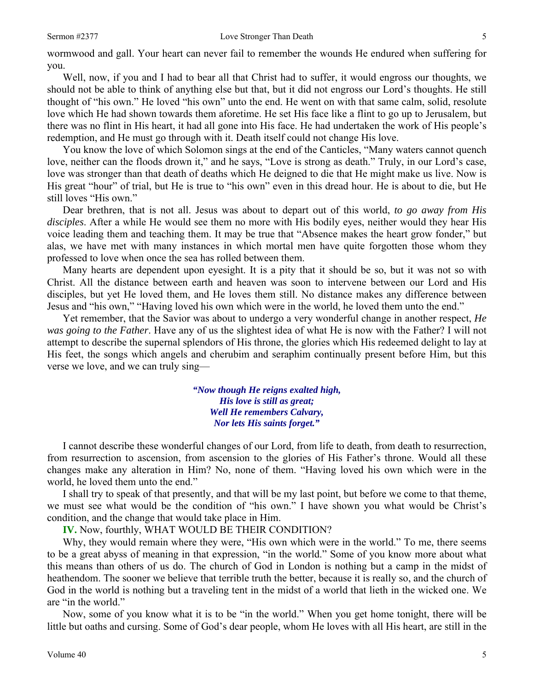wormwood and gall. Your heart can never fail to remember the wounds He endured when suffering for you.

Well, now, if you and I had to bear all that Christ had to suffer, it would engross our thoughts, we should not be able to think of anything else but that, but it did not engross our Lord's thoughts. He still thought of "his own." He loved "his own" unto the end. He went on with that same calm, solid, resolute love which He had shown towards them aforetime. He set His face like a flint to go up to Jerusalem, but there was no flint in His heart, it had all gone into His face. He had undertaken the work of His people's redemption, and He must go through with it. Death itself could not change His love.

You know the love of which Solomon sings at the end of the Canticles, "Many waters cannot quench love, neither can the floods drown it," and he says, "Love is strong as death." Truly, in our Lord's case, love was stronger than that death of deaths which He deigned to die that He might make us live. Now is His great "hour" of trial, but He is true to "his own" even in this dread hour. He is about to die, but He still loves "His own."

Dear brethren, that is not all. Jesus was about to depart out of this world, *to go away from His disciples*. After a while He would see them no more with His bodily eyes, neither would they hear His voice leading them and teaching them. It may be true that "Absence makes the heart grow fonder," but alas, we have met with many instances in which mortal men have quite forgotten those whom they professed to love when once the sea has rolled between them.

Many hearts are dependent upon eyesight. It is a pity that it should be so, but it was not so with Christ. All the distance between earth and heaven was soon to intervene between our Lord and His disciples, but yet He loved them, and He loves them still. No distance makes any difference between Jesus and "his own," "Having loved his own which were in the world, he loved them unto the end."

Yet remember, that the Savior was about to undergo a very wonderful change in another respect, *He was going to the Father*. Have any of us the slightest idea of what He is now with the Father? I will not attempt to describe the supernal splendors of His throne, the glories which His redeemed delight to lay at His feet, the songs which angels and cherubim and seraphim continually present before Him, but this verse we love, and we can truly sing—

> *"Now though He reigns exalted high, His love is still as great; Well He remembers Calvary, Nor lets His saints forget."*

I cannot describe these wonderful changes of our Lord, from life to death, from death to resurrection, from resurrection to ascension, from ascension to the glories of His Father's throne. Would all these changes make any alteration in Him? No, none of them. "Having loved his own which were in the world, he loved them unto the end."

I shall try to speak of that presently, and that will be my last point, but before we come to that theme, we must see what would be the condition of "his own." I have shown you what would be Christ's condition, and the change that would take place in Him.

**IV.** Now, fourthly, WHAT WOULD BE THEIR CONDITION?

Why, they would remain where they were, "His own which were in the world." To me, there seems to be a great abyss of meaning in that expression, "in the world." Some of you know more about what this means than others of us do. The church of God in London is nothing but a camp in the midst of heathendom. The sooner we believe that terrible truth the better, because it is really so, and the church of God in the world is nothing but a traveling tent in the midst of a world that lieth in the wicked one. We are "in the world."

Now, some of you know what it is to be "in the world." When you get home tonight, there will be little but oaths and cursing. Some of God's dear people, whom He loves with all His heart, are still in the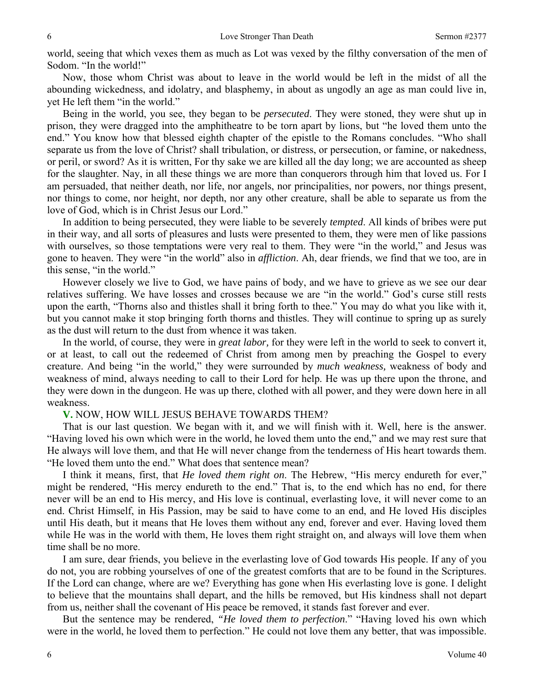world, seeing that which vexes them as much as Lot was vexed by the filthy conversation of the men of Sodom. "In the world!"

Now, those whom Christ was about to leave in the world would be left in the midst of all the abounding wickedness, and idolatry, and blasphemy, in about as ungodly an age as man could live in, yet He left them "in the world."

Being in the world, you see, they began to be *persecuted*. They were stoned, they were shut up in prison, they were dragged into the amphitheatre to be torn apart by lions, but "he loved them unto the end." You know how that blessed eighth chapter of the epistle to the Romans concludes. "Who shall separate us from the love of Christ? shall tribulation, or distress, or persecution, or famine, or nakedness, or peril, or sword? As it is written, For thy sake we are killed all the day long; we are accounted as sheep for the slaughter. Nay, in all these things we are more than conquerors through him that loved us. For I am persuaded, that neither death, nor life, nor angels, nor principalities, nor powers, nor things present, nor things to come, nor height, nor depth, nor any other creature, shall be able to separate us from the love of God, which is in Christ Jesus our Lord."

In addition to being persecuted, they were liable to be severely *tempted*. All kinds of bribes were put in their way, and all sorts of pleasures and lusts were presented to them, they were men of like passions with ourselves, so those temptations were very real to them. They were "in the world," and Jesus was gone to heaven. They were "in the world" also in *affliction*. Ah, dear friends, we find that we too, are in this sense, "in the world."

However closely we live to God, we have pains of body, and we have to grieve as we see our dear relatives suffering. We have losses and crosses because we are "in the world." God's curse still rests upon the earth, "Thorns also and thistles shall it bring forth to thee." You may do what you like with it, but you cannot make it stop bringing forth thorns and thistles. They will continue to spring up as surely as the dust will return to the dust from whence it was taken.

In the world, of course, they were in *great labor,* for they were left in the world to seek to convert it, or at least, to call out the redeemed of Christ from among men by preaching the Gospel to every creature. And being "in the world," they were surrounded by *much weakness,* weakness of body and weakness of mind, always needing to call to their Lord for help. He was up there upon the throne, and they were down in the dungeon. He was up there, clothed with all power, and they were down here in all weakness.

## **V.** NOW, HOW WILL JESUS BEHAVE TOWARDS THEM?

That is our last question. We began with it, and we will finish with it. Well, here is the answer. "Having loved his own which were in the world, he loved them unto the end," and we may rest sure that He always will love them, and that He will never change from the tenderness of His heart towards them. "He loved them unto the end." What does that sentence mean?

I think it means, first, that *He loved them right on*. The Hebrew, "His mercy endureth for ever," might be rendered, "His mercy endureth to the end." That is, to the end which has no end, for there never will be an end to His mercy, and His love is continual, everlasting love, it will never come to an end. Christ Himself, in His Passion, may be said to have come to an end, and He loved His disciples until His death, but it means that He loves them without any end, forever and ever. Having loved them while He was in the world with them, He loves them right straight on, and always will love them when time shall be no more.

I am sure, dear friends, you believe in the everlasting love of God towards His people. If any of you do not, you are robbing yourselves of one of the greatest comforts that are to be found in the Scriptures. If the Lord can change, where are we? Everything has gone when His everlasting love is gone. I delight to believe that the mountains shall depart, and the hills be removed, but His kindness shall not depart from us, neither shall the covenant of His peace be removed, it stands fast forever and ever.

But the sentence may be rendered, *"He loved them to perfection*." "Having loved his own which were in the world, he loved them to perfection." He could not love them any better, that was impossible.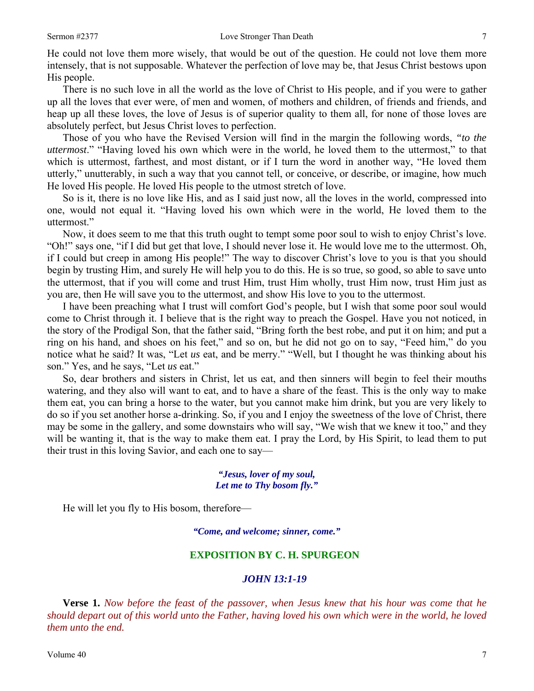He could not love them more wisely, that would be out of the question. He could not love them more intensely, that is not supposable. Whatever the perfection of love may be, that Jesus Christ bestows upon His people.

There is no such love in all the world as the love of Christ to His people, and if you were to gather up all the loves that ever were, of men and women, of mothers and children, of friends and friends, and heap up all these loves, the love of Jesus is of superior quality to them all, for none of those loves are absolutely perfect, but Jesus Christ loves to perfection.

Those of you who have the Revised Version will find in the margin the following words, *"to the uttermost*." "Having loved his own which were in the world, he loved them to the uttermost," to that which is uttermost, farthest, and most distant, or if I turn the word in another way, "He loved them utterly," unutterably, in such a way that you cannot tell, or conceive, or describe, or imagine, how much He loved His people. He loved His people to the utmost stretch of love.

So is it, there is no love like His, and as I said just now, all the loves in the world, compressed into one, would not equal it. "Having loved his own which were in the world, He loved them to the uttermost."

Now, it does seem to me that this truth ought to tempt some poor soul to wish to enjoy Christ's love. "Oh!" says one, "if I did but get that love, I should never lose it. He would love me to the uttermost. Oh, if I could but creep in among His people!" The way to discover Christ's love to you is that you should begin by trusting Him, and surely He will help you to do this. He is so true, so good, so able to save unto the uttermost, that if you will come and trust Him, trust Him wholly, trust Him now, trust Him just as you are, then He will save you to the uttermost, and show His love to you to the uttermost.

I have been preaching what I trust will comfort God's people, but I wish that some poor soul would come to Christ through it. I believe that is the right way to preach the Gospel. Have you not noticed, in the story of the Prodigal Son, that the father said, "Bring forth the best robe, and put it on him; and put a ring on his hand, and shoes on his feet," and so on, but he did not go on to say, "Feed him," do you notice what he said? It was, "Let *us* eat, and be merry." "Well, but I thought he was thinking about his son." Yes, and he says, "Let *us* eat."

So, dear brothers and sisters in Christ, let us eat, and then sinners will begin to feel their mouths watering, and they also will want to eat, and to have a share of the feast. This is the only way to make them eat, you can bring a horse to the water, but you cannot make him drink, but you are very likely to do so if you set another horse a-drinking. So, if you and I enjoy the sweetness of the love of Christ, there may be some in the gallery, and some downstairs who will say, "We wish that we knew it too," and they will be wanting it, that is the way to make them eat. I pray the Lord, by His Spirit, to lead them to put their trust in this loving Savior, and each one to say—

#### *"Jesus, lover of my soul, Let me to Thy bosom fly."*

He will let you fly to His bosom, therefore—

*"Come, and welcome; sinner, come."* 

## **EXPOSITION BY C. H. SPURGEON**

### *JOHN 13:1-19*

**Verse 1.** *Now before the feast of the passover, when Jesus knew that his hour was come that he should depart out of this world unto the Father, having loved his own which were in the world, he loved them unto the end.*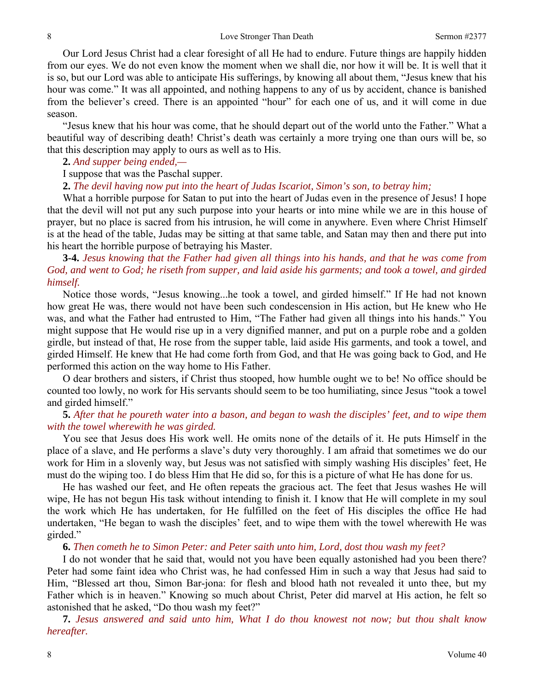Our Lord Jesus Christ had a clear foresight of all He had to endure. Future things are happily hidden from our eyes. We do not even know the moment when we shall die, nor how it will be. It is well that it is so, but our Lord was able to anticipate His sufferings, by knowing all about them, "Jesus knew that his hour was come." It was all appointed, and nothing happens to any of us by accident, chance is banished from the believer's creed. There is an appointed "hour" for each one of us, and it will come in due season.

"Jesus knew that his hour was come, that he should depart out of the world unto the Father." What a beautiful way of describing death! Christ's death was certainly a more trying one than ours will be, so that this description may apply to ours as well as to His.

#### **2.** *And supper being ended,—*

I suppose that was the Paschal supper.

**2.** *The devil having now put into the heart of Judas Iscariot, Simon's son, to betray him;* 

What a horrible purpose for Satan to put into the heart of Judas even in the presence of Jesus! I hope that the devil will not put any such purpose into your hearts or into mine while we are in this house of prayer, but no place is sacred from his intrusion, he will come in anywhere. Even where Christ Himself is at the head of the table, Judas may be sitting at that same table, and Satan may then and there put into his heart the horrible purpose of betraying his Master.

## **3-4.** *Jesus knowing that the Father had given all things into his hands, and that he was come from God, and went to God; he riseth from supper, and laid aside his garments; and took a towel, and girded himself.*

Notice those words, "Jesus knowing...he took a towel, and girded himself." If He had not known how great He was, there would not have been such condescension in His action, but He knew who He was, and what the Father had entrusted to Him, "The Father had given all things into his hands." You might suppose that He would rise up in a very dignified manner, and put on a purple robe and a golden girdle, but instead of that, He rose from the supper table, laid aside His garments, and took a towel, and girded Himself. He knew that He had come forth from God, and that He was going back to God, and He performed this action on the way home to His Father.

O dear brothers and sisters, if Christ thus stooped, how humble ought we to be! No office should be counted too lowly, no work for His servants should seem to be too humiliating, since Jesus "took a towel and girded himself."

## **5.** *After that he poureth water into a bason, and began to wash the disciples' feet, and to wipe them with the towel wherewith he was girded.*

You see that Jesus does His work well. He omits none of the details of it. He puts Himself in the place of a slave, and He performs a slave's duty very thoroughly. I am afraid that sometimes we do our work for Him in a slovenly way, but Jesus was not satisfied with simply washing His disciples' feet, He must do the wiping too. I do bless Him that He did so, for this is a picture of what He has done for us.

He has washed our feet, and He often repeats the gracious act. The feet that Jesus washes He will wipe, He has not begun His task without intending to finish it. I know that He will complete in my soul the work which He has undertaken, for He fulfilled on the feet of His disciples the office He had undertaken, "He began to wash the disciples' feet, and to wipe them with the towel wherewith He was girded."

**6.** *Then cometh he to Simon Peter: and Peter saith unto him, Lord, dost thou wash my feet?* 

I do not wonder that he said that, would not you have been equally astonished had you been there? Peter had some faint idea who Christ was, he had confessed Him in such a way that Jesus had said to Him, "Blessed art thou, Simon Bar-jona: for flesh and blood hath not revealed it unto thee, but my Father which is in heaven." Knowing so much about Christ, Peter did marvel at His action, he felt so astonished that he asked, "Do thou wash my feet?"

**7.** *Jesus answered and said unto him, What I do thou knowest not now; but thou shalt know hereafter.*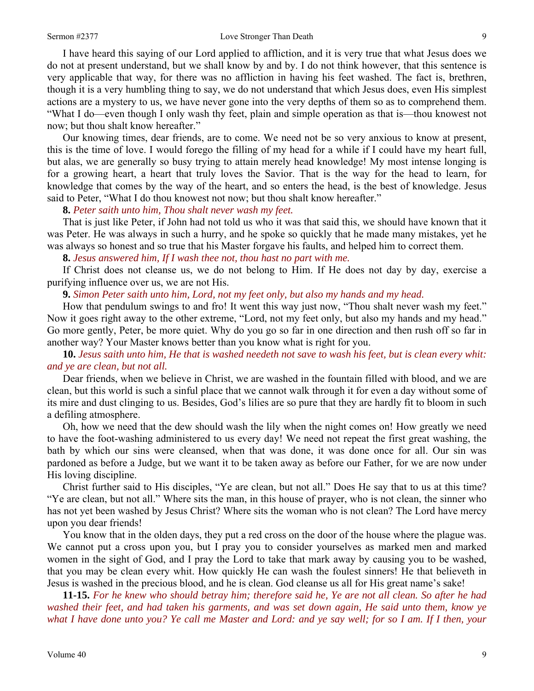#### Sermon #2377 **Love Stronger Than Death** 9

I have heard this saying of our Lord applied to affliction, and it is very true that what Jesus does we do not at present understand, but we shall know by and by. I do not think however, that this sentence is very applicable that way, for there was no affliction in having his feet washed. The fact is, brethren, though it is a very humbling thing to say, we do not understand that which Jesus does, even His simplest actions are a mystery to us, we have never gone into the very depths of them so as to comprehend them. "What I do—even though I only wash thy feet, plain and simple operation as that is—thou knowest not now; but thou shalt know hereafter."

Our knowing times, dear friends, are to come. We need not be so very anxious to know at present, this is the time of love. I would forego the filling of my head for a while if I could have my heart full, but alas, we are generally so busy trying to attain merely head knowledge! My most intense longing is for a growing heart, a heart that truly loves the Savior. That is the way for the head to learn, for knowledge that comes by the way of the heart, and so enters the head, is the best of knowledge. Jesus said to Peter, "What I do thou knowest not now; but thou shalt know hereafter."

**8.** *Peter saith unto him, Thou shalt never wash my feet.* 

That is just like Peter, if John had not told us who it was that said this, we should have known that it was Peter. He was always in such a hurry, and he spoke so quickly that he made many mistakes, yet he was always so honest and so true that his Master forgave his faults, and helped him to correct them.

**8.** *Jesus answered him, If I wash thee not, thou hast no part with me.* 

If Christ does not cleanse us, we do not belong to Him. If He does not day by day, exercise a purifying influence over us, we are not His.

**9.** *Simon Peter saith unto him, Lord, not my feet only, but also my hands and my head.* 

How that pendulum swings to and fro! It went this way just now, "Thou shalt never wash my feet." Now it goes right away to the other extreme, "Lord, not my feet only, but also my hands and my head." Go more gently, Peter, be more quiet. Why do you go so far in one direction and then rush off so far in another way? Your Master knows better than you know what is right for you.

**10.** *Jesus saith unto him, He that is washed needeth not save to wash his feet, but is clean every whit: and ye are clean, but not all.* 

Dear friends, when we believe in Christ, we are washed in the fountain filled with blood, and we are clean, but this world is such a sinful place that we cannot walk through it for even a day without some of its mire and dust clinging to us. Besides, God's lilies are so pure that they are hardly fit to bloom in such a defiling atmosphere.

Oh, how we need that the dew should wash the lily when the night comes on! How greatly we need to have the foot-washing administered to us every day! We need not repeat the first great washing, the bath by which our sins were cleansed, when that was done, it was done once for all. Our sin was pardoned as before a Judge, but we want it to be taken away as before our Father, for we are now under His loving discipline.

Christ further said to His disciples, "Ye are clean, but not all." Does He say that to us at this time? "Ye are clean, but not all." Where sits the man, in this house of prayer, who is not clean, the sinner who has not yet been washed by Jesus Christ? Where sits the woman who is not clean? The Lord have mercy upon you dear friends!

You know that in the olden days, they put a red cross on the door of the house where the plague was. We cannot put a cross upon you, but I pray you to consider yourselves as marked men and marked women in the sight of God, and I pray the Lord to take that mark away by causing you to be washed, that you may be clean every whit. How quickly He can wash the foulest sinners! He that believeth in Jesus is washed in the precious blood, and he is clean. God cleanse us all for His great name's sake!

**11-15.** *For he knew who should betray him; therefore said he, Ye are not all clean. So after he had washed their feet, and had taken his garments, and was set down again, He said unto them, know ye what I have done unto you? Ye call me Master and Lord: and ye say well; for so I am. If I then, your*